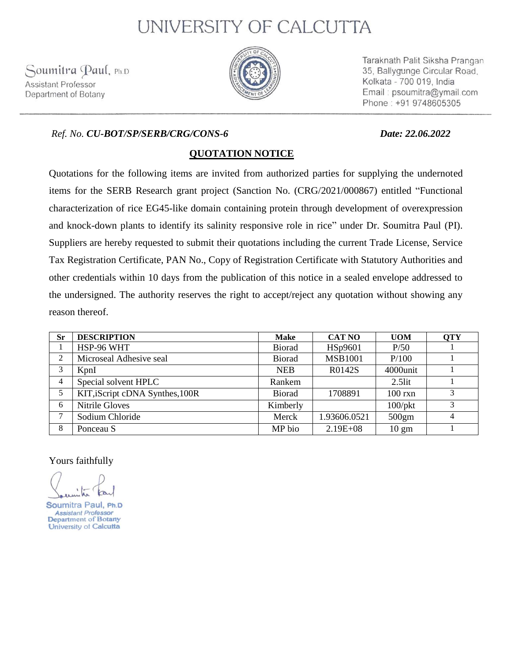# UNIVERSITY OF CALCUTTA

Soumitra Paul, Ph.D Assistant Professor Department of Botany



Taraknath Palit Siksha Prangan 35, Ballygunge Circular Road. Kolkata - 700 019, India Email: psoumitra@ymail.com Phone: +91 9748605305

### *Ref. No. CU-BOT/SP/SERB/CRG/CONS-6 Date: 22.06.2022*

## **QUOTATION NOTICE**

Quotations for the following items are invited from authorized parties for supplying the undernoted items for the SERB Research grant project (Sanction No. (CRG/2021/000867) entitled "Functional characterization of rice EG45-like domain containing protein through development of overexpression and knock-down plants to identify its salinity responsive role in rice" under Dr. Soumitra Paul (PI). Suppliers are hereby requested to submit their quotations including the current Trade License, Service Tax Registration Certificate, PAN No., Copy of Registration Certificate with Statutory Authorities and other credentials within 10 days from the publication of this notice in a sealed envelope addressed to the undersigned. The authority reserves the right to accept/reject any quotation without showing any reason thereof.

| <b>Sr</b>      | <b>DESCRIPTION</b>              | <b>Make</b>   | <b>CAT NO</b>  | <b>UOM</b>        | <b>QTY</b> |
|----------------|---------------------------------|---------------|----------------|-------------------|------------|
|                | HSP-96 WHT                      | <b>Biorad</b> | HSp9601        | P/50              |            |
| $\mathfrak{D}$ | Microseal Adhesive seal         | <b>Biorad</b> | <b>MSB1001</b> | P/100             |            |
| 3              | KpnI                            | <b>NEB</b>    | R0142S         | 4000unit          |            |
| 4              | Special solvent HPLC            | Rankem        |                | $2.5$ lit         |            |
| 5              | KIT, iScript cDNA Synthes, 100R | <b>Biorad</b> | 1708891        | $100 \text{ rxn}$ |            |
| 6              | Nitrile Gloves                  | Kimberly      |                | $100$ /pkt        |            |
| ⇁              | Sodium Chloride                 | Merck         | 1.93606.0521   | 500gm             | 4          |
| 8              | Ponceau S                       | MP bio        | $2.19E + 08$   | $10 \text{ gm}$   |            |

Yours faithfully

Soumitra Paul, Ph.D **Assistant Professor** Department of Botany University of Calcutta